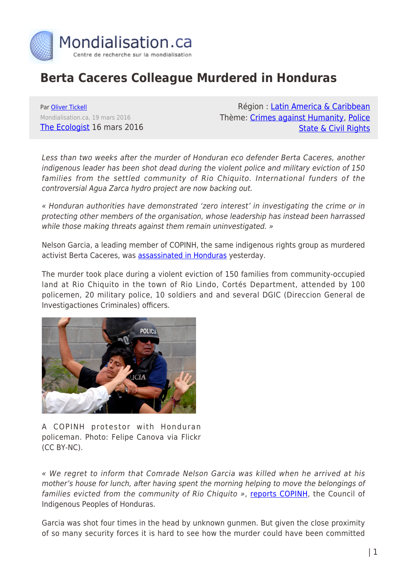

## **Berta Caceres Colleague Murdered in Honduras**

Par [Oliver Tickell](https://www.mondialisation.ca/author/oliver-tickell) Mondialisation.ca, 19 mars 2016 [The Ecologist](http://www.theecologist.org/News/news_round_up/2987416/berta_caceres_colleague_murdered_in_honduras.html) 16 mars 2016

Région : [Latin America & Caribbean](https://www.mondialisation.ca/region/latin-america-caribbean) Thème: [Crimes against Humanity,](https://www.mondialisation.ca/theme/crimes-against-humanity) [Police](https://www.mondialisation.ca/theme/police-state-civil-rights) [State & Civil Rights](https://www.mondialisation.ca/theme/police-state-civil-rights)

Less than two weeks after the murder of Honduran eco defender Berta Caceres, another indigenous leader has been shot dead during the violent police and military eviction of 150 families from the settled community of Rio Chiquito. International funders of the controversial Agua Zarca hydro project are now backing out.

« Honduran authorities have demonstrated 'zero interest' in investigating the crime or in protecting other members of the organisation, whose leadership has instead been harrassed while those making threats against them remain uninvestigated. »

Nelson Garcia, a leading member of COPINH, the same indigenous rights group as murdered activist Berta Caceres, was [assassinated in Honduras](http://criterio.hn/asesinan-companero-berta-caceres/) yesterday.

The murder took place during a violent eviction of 150 families from community-occupied land at Rio Chiquito in the town of Rio Lindo, Cortés Department, attended by 100 policemen, 20 military police, 10 soldiers and and several DGIC (Direccion General de Investigactiones Criminales) officers.



A COPINH protestor with Honduran policeman. Photo: Felipe Canova via Flickr (CC BY-NC).

« We regret to inform that Comrade Nelson Garcia was killed when he arrived at his mother's house for lunch, after having spent the morning helping to move the belongings of families evicted from the community of Rio Chiquito », [reports COPINH](http://www.copinh.org/), the Council of Indigenous Peoples of Honduras.

Garcia was shot four times in the head by unknown gunmen. But given the close proximity of so many security forces it is hard to see how the murder could have been committed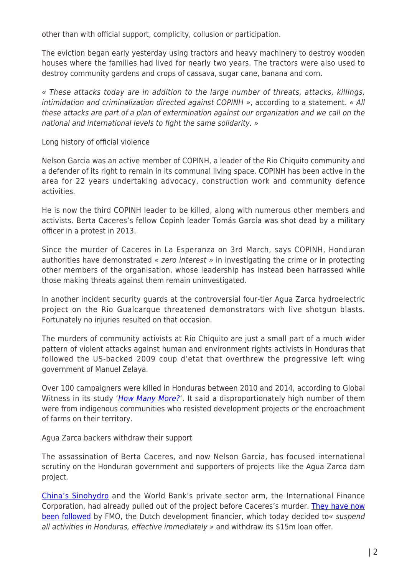other than with official support, complicity, collusion or participation.

The eviction began early yesterday using tractors and heavy machinery to destroy wooden houses where the families had lived for nearly two years. The tractors were also used to destroy community gardens and crops of cassava, sugar cane, banana and corn.

« These attacks today are in addition to the large number of threats, attacks, killings, intimidation and criminalization directed against COPINH », according to a statement. « All these attacks are part of a plan of extermination against our organization and we call on the national and international levels to fight the same solidarity. »

Long history of official violence

Nelson Garcia was an active member of COPINH, a leader of the Rio Chiquito community and a defender of its right to remain in its communal living space. COPINH has been active in the area for 22 years undertaking advocacy, construction work and community defence activities.

He is now the third COPINH leader to be killed, along with numerous other members and activists. Berta Caceres's fellow Copinh leader Tomás García was shot dead by a military officer in a protest in 2013.

Since the murder of Caceres in La Esperanza on 3rd March, says COPINH, Honduran authorities have demonstrated « zero interest » in investigating the crime or in protecting other members of the organisation, whose leadership has instead been harrassed while those making threats against them remain uninvestigated.

In another incident security guards at the controversial four-tier Agua Zarca hydroelectric project on the Rio Gualcarque threatened demonstrators with live shotgun blasts. Fortunately no injuries resulted on that occasion.

The murders of community activists at Rio Chiquito are just a small part of a much wider pattern of violent attacks against human and environment rights activists in Honduras that followed the US-backed 2009 coup d'etat that overthrew the progressive left wing government of Manuel Zelaya.

Over 100 campaigners were killed in Honduras between 2010 and 2014, according to Global Witness in its study '*[How Many More?](http://www.globalwitness.org/howmanymore)'*. It said a disproportionately high number of them were from indigenous communities who resisted development projects or the encroachment of farms on their territory.

Agua Zarca backers withdraw their support

The assassination of Berta Caceres, and now Nelson Garcia, has focused international scrutiny on the Honduran government and supporters of projects like the Agua Zarca dam project.

[China's Sinohydro](http://eng.sinohydro.com/) and the World Bank's private sector arm, the International Finance Corporation, had already pulled out of the project before Caceres's murder. [They have now](http://www.internationalrivers.org/blogs/227/european-funders-suspend-support-for-agua-zarca-dam) [been followed](http://www.internationalrivers.org/blogs/227/european-funders-suspend-support-for-agua-zarca-dam) by FMO, the Dutch development financier, which today decided to« suspend all activities in Honduras, effective immediately » and withdraw its \$15m loan offer.